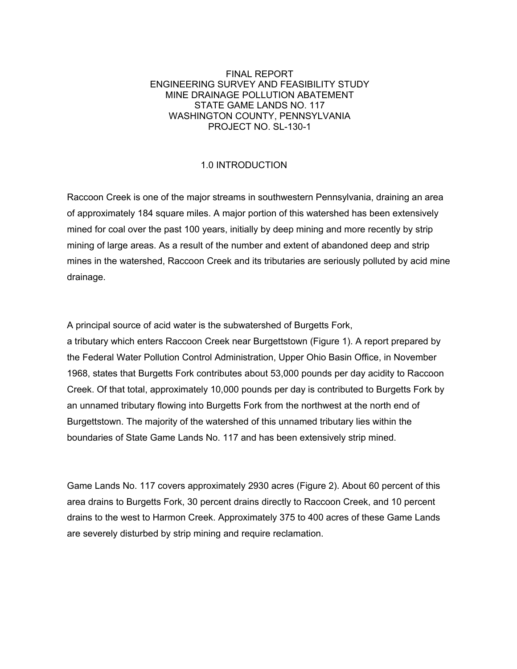## FINAL REPORT ENGINEERING SURVEY AND FEASIBILITY STUDY MINE DRAINAGE POLLUTION ABATEMENT STATE GAME LANDS NO. 117 WASHINGTON COUNTY, PENNSYLVANIA PROJECT NO. SL-130-1

# 1.0 INTRODUCTION

Raccoon Creek is one of the major streams in southwestern Pennsylvania, draining an area of approximately 184 square miles. A major portion of this watershed has been extensively mined for coal over the past 100 years, initially by deep mining and more recently by strip mining of large areas. As a result of the number and extent of abandoned deep and strip mines in the watershed, Raccoon Creek and its tributaries are seriously polluted by acid mine drainage.

A principal source of acid water is the subwatershed of Burgetts Fork, a tributary which enters Raccoon Creek near Burgettstown (Figure 1). A report prepared by the Federal Water Pollution Control Administration, Upper Ohio Basin Office, in November 1968, states that Burgetts Fork contributes about 53,000 pounds per day acidity to Raccoon Creek. Of that total, approximately 10,000 pounds per day is contributed to Burgetts Fork by an unnamed tributary flowing into Burgetts Fork from the northwest at the north end of Burgettstown. The majority of the watershed of this unnamed tributary lies within the boundaries of State Game Lands No. 117 and has been extensively strip mined.

Game Lands No. 117 covers approximately 2930 acres (Figure 2). About 60 percent of this area drains to Burgetts Fork, 30 percent drains directly to Raccoon Creek, and 10 percent drains to the west to Harmon Creek. Approximately 375 to 400 acres of these Game Lands are severely disturbed by strip mining and require reclamation.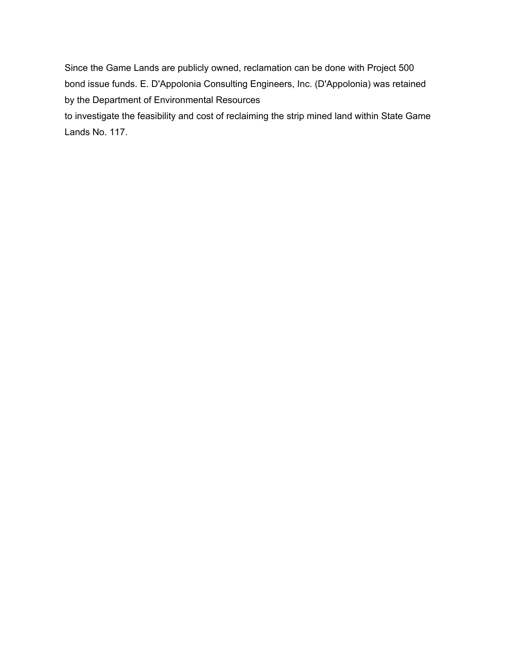Since the Game Lands are publicly owned, reclamation can be done with Project 500 bond issue funds. E. D'Appolonia Consulting Engineers, Inc. (D'Appolonia) was retained by the Department of Environmental Resources

to investigate the feasibility and cost of reclaiming the strip mined land within State Game Lands No. 117.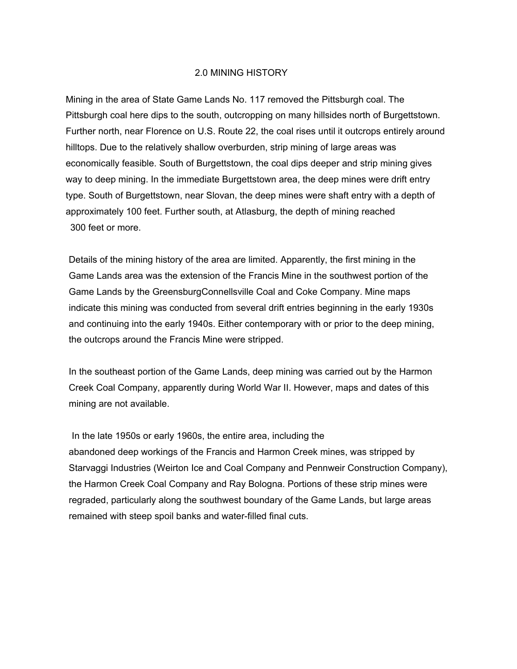#### 2.0 MINING HISTORY

Mining in the area of State Game Lands No. 117 removed the Pittsburgh coal. The Pittsburgh coal here dips to the south, outcropping on many hillsides north of Burgettstown. Further north, near Florence on U.S. Route 22, the coal rises until it outcrops entirely around hilltops. Due to the relatively shallow overburden, strip mining of large areas was economically feasible. South of Burgettstown, the coal dips deeper and strip mining gives way to deep mining. In the immediate Burgettstown area, the deep mines were drift entry type. South of Burgettstown, near Slovan, the deep mines were shaft entry with a depth of approximately 100 feet. Further south, at Atlasburg, the depth of mining reached 300 feet or more.

Details of the mining history of the area are limited. Apparently, the first mining in the Game Lands area was the extension of the Francis Mine in the southwest portion of the Game Lands by the GreensburgConnellsville Coal and Coke Company. Mine maps indicate this mining was conducted from several drift entries beginning in the early 1930s and continuing into the early 1940s. Either contemporary with or prior to the deep mining, the outcrops around the Francis Mine were stripped.

In the southeast portion of the Game Lands, deep mining was carried out by the Harmon Creek Coal Company, apparently during World War II. However, maps and dates of this mining are not available.

In the late 1950s or early 1960s, the entire area, including the abandoned deep workings of the Francis and Harmon Creek mines, was stripped by Starvaggi Industries (Weirton Ice and Coal Company and Pennweir Construction Company), the Harmon Creek Coal Company and Ray Bologna. Portions of these strip mines were regraded, particularly along the southwest boundary of the Game Lands, but large areas remained with steep spoil banks and water-filled final cuts.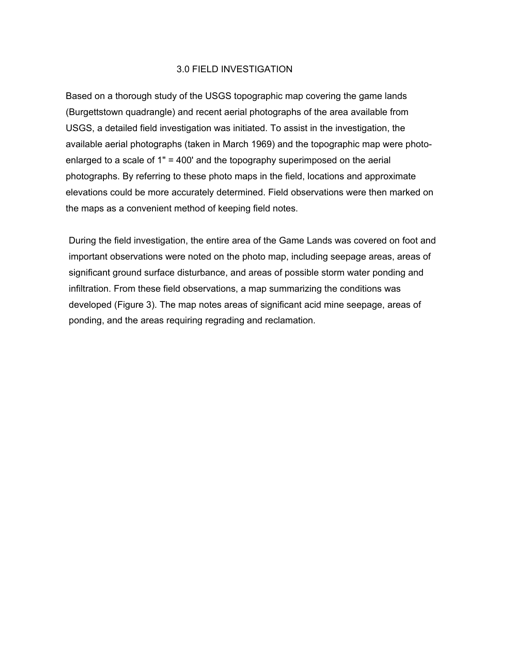## 3.0 FIELD INVESTIGATION

Based on a thorough study of the USGS topographic map covering the game lands (Burgettstown quadrangle) and recent aerial photographs of the area available from USGS, a detailed field investigation was initiated. To assist in the investigation, the available aerial photographs (taken in March 1969) and the topographic map were photoenlarged to a scale of 1" = 400' and the topography superimposed on the aerial photographs. By referring to these photo maps in the field, locations and approximate elevations could be more accurately determined. Field observations were then marked on the maps as a convenient method of keeping field notes.

During the field investigation, the entire area of the Game Lands was covered on foot and important observations were noted on the photo map, including seepage areas, areas of significant ground surface disturbance, and areas of possible storm water ponding and infiltration. From these field observations, a map summarizing the conditions was developed (Figure 3). The map notes areas of significant acid mine seepage, areas of ponding, and the areas requiring regrading and reclamation.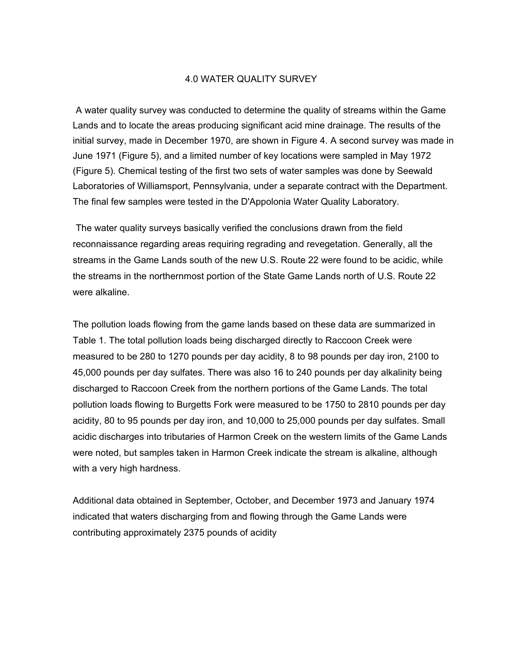#### 4.0 WATER QUALITY SURVEY

A water quality survey was conducted to determine the quality of streams within the Game Lands and to locate the areas producing significant acid mine drainage. The results of the initial survey, made in December 1970, are shown in Figure 4. A second survey was made in June 1971 (Figure 5), and a limited number of key locations were sampled in May 1972 (Figure 5). Chemical testing of the first two sets of water samples was done by Seewald Laboratories of Williamsport, Pennsylvania, under a separate contract with the Department. The final few samples were tested in the D'Appolonia Water Quality Laboratory.

The water quality surveys basically verified the conclusions drawn from the field reconnaissance regarding areas requiring regrading and revegetation. Generally, all the streams in the Game Lands south of the new U.S. Route 22 were found to be acidic, while the streams in the northernmost portion of the State Game Lands north of U.S. Route 22 were alkaline.

The pollution loads flowing from the game lands based on these data are summarized in Table 1. The total pollution loads being discharged directly to Raccoon Creek were measured to be 280 to 1270 pounds per day acidity, 8 to 98 pounds per day iron, 2100 to 45,000 pounds per day sulfates. There was also 16 to 240 pounds per day alkalinity being discharged to Raccoon Creek from the northern portions of the Game Lands. The total pollution loads flowing to Burgetts Fork were measured to be 1750 to 2810 pounds per day acidity, 80 to 95 pounds per day iron, and 10,000 to 25,000 pounds per day sulfates. Small acidic discharges into tributaries of Harmon Creek on the western limits of the Game Lands were noted, but samples taken in Harmon Creek indicate the stream is alkaline, although with a very high hardness.

Additional data obtained in September, October, and December 1973 and January 1974 indicated that waters discharging from and flowing through the Game Lands were contributing approximately 2375 pounds of acidity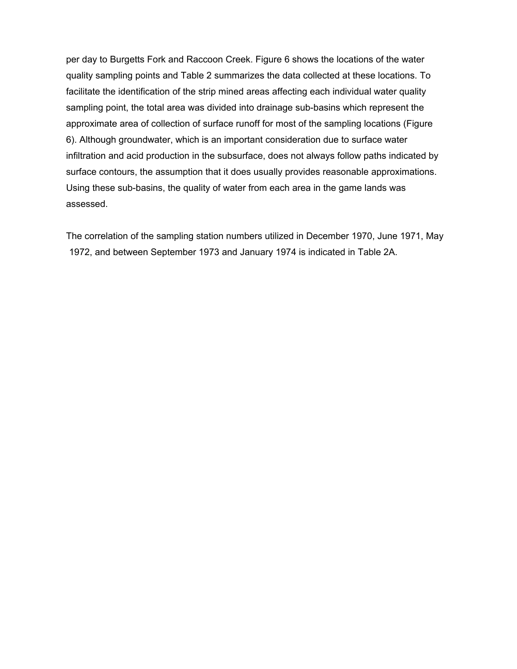per day to Burgetts Fork and Raccoon Creek. Figure 6 shows the locations of the water quality sampling points and Table 2 summarizes the data collected at these locations. To facilitate the identification of the strip mined areas affecting each individual water quality sampling point, the total area was divided into drainage sub-basins which represent the approximate area of collection of surface runoff for most of the sampling locations (Figure 6). Although groundwater, which is an important consideration due to surface water infiltration and acid production in the subsurface, does not always follow paths indicated by surface contours, the assumption that it does usually provides reasonable approximations. Using these sub-basins, the quality of water from each area in the game lands was assessed.

The correlation of the sampling station numbers utilized in December 1970, June 1971, May 1972, and between September 1973 and January 1974 is indicated in Table 2A.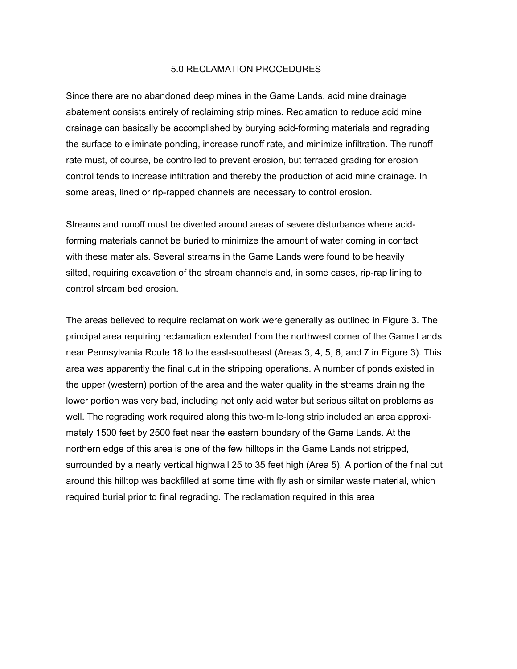#### 5.0 RECLAMATION PROCEDURES

Since there are no abandoned deep mines in the Game Lands, acid mine drainage abatement consists entirely of reclaiming strip mines. Reclamation to reduce acid mine drainage can basically be accomplished by burying acid-forming materials and regrading the surface to eliminate ponding, increase runoff rate, and minimize infiltration. The runoff rate must, of course, be controlled to prevent erosion, but terraced grading for erosion control tends to increase infiltration and thereby the production of acid mine drainage. In some areas, lined or rip-rapped channels are necessary to control erosion.

Streams and runoff must be diverted around areas of severe disturbance where acidforming materials cannot be buried to minimize the amount of water coming in contact with these materials. Several streams in the Game Lands were found to be heavily silted, requiring excavation of the stream channels and, in some cases, rip-rap lining to control stream bed erosion.

The areas believed to require reclamation work were generally as outlined in Figure 3. The principal area requiring reclamation extended from the northwest corner of the Game Lands near Pennsylvania Route 18 to the east-southeast (Areas 3, 4, 5, 6, and 7 in Figure 3). This area was apparently the final cut in the stripping operations. A number of ponds existed in the upper (western) portion of the area and the water quality in the streams draining the lower portion was very bad, including not only acid water but serious siltation problems as well. The regrading work required along this two-mile-long strip included an area approximately 1500 feet by 2500 feet near the eastern boundary of the Game Lands. At the northern edge of this area is one of the few hilltops in the Game Lands not stripped, surrounded by a nearly vertical highwall 25 to 35 feet high (Area 5). A portion of the final cut around this hilltop was backfilled at some time with fly ash or similar waste material, which required burial prior to final regrading. The reclamation required in this area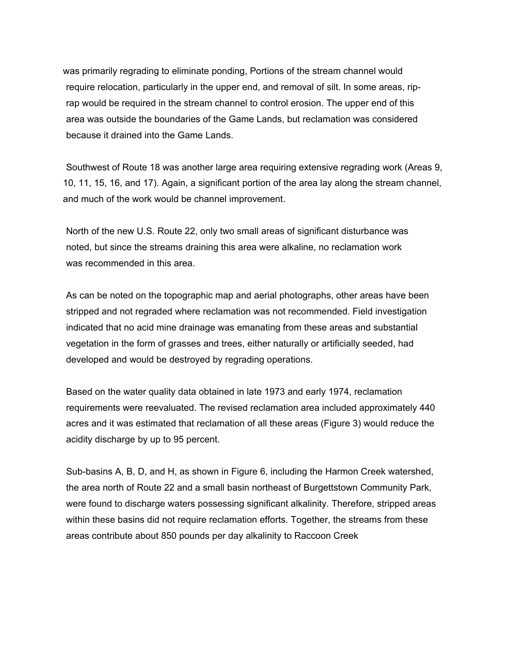was primarily regrading to eliminate ponding, Portions of the stream channel would require relocation, particularly in the upper end, and removal of silt. In some areas, riprap would be required in the stream channel to control erosion. The upper end of this area was outside the boundaries of the Game Lands, but reclamation was considered because it drained into the Game Lands.

Southwest of Route 18 was another large area requiring extensive regrading work (Areas 9, 10, 11, 15, 16, and 17). Again, a significant portion of the area lay along the stream channel, and much of the work would be channel improvement.

North of the new U.S. Route 22, only two small areas of significant disturbance was noted, but since the streams draining this area were alkaline, no reclamation work was recommended in this area.

As can be noted on the topographic map and aerial photographs, other areas have been stripped and not regraded where reclamation was not recommended. Field investigation indicated that no acid mine drainage was emanating from these areas and substantial vegetation in the form of grasses and trees, either naturally or artificially seeded, had developed and would be destroyed by regrading operations.

Based on the water quality data obtained in late 1973 and early 1974, reclamation requirements were reevaluated. The revised reclamation area included approximately 440 acres and it was estimated that reclamation of all these areas (Figure 3) would reduce the acidity discharge by up to 95 percent.

Sub-basins A, B, D, and H, as shown in Figure 6, including the Harmon Creek watershed, the area north of Route 22 and a small basin northeast of Burgettstown Community Park, were found to discharge waters possessing significant alkalinity. Therefore, stripped areas within these basins did not require reclamation efforts. Together, the streams from these areas contribute about 850 pounds per day alkalinity to Raccoon Creek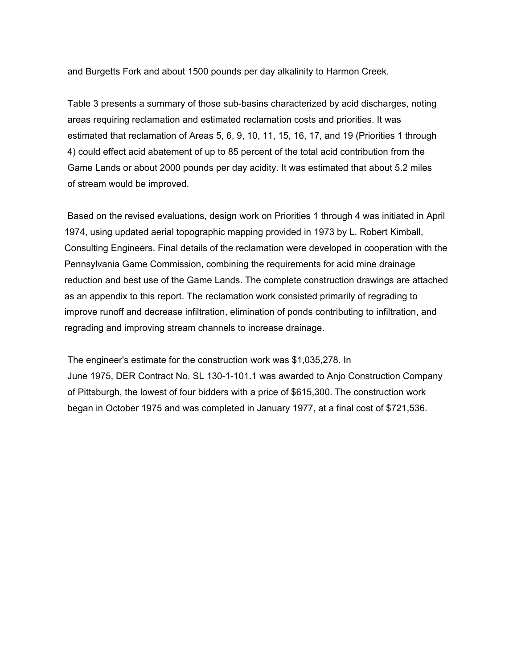and Burgetts Fork and about 1500 pounds per day alkalinity to Harmon Creek.

Table 3 presents a summary of those sub-basins characterized by acid discharges, noting areas requiring reclamation and estimated reclamation costs and priorities. It was estimated that reclamation of Areas 5, 6, 9, 10, 11, 15, 16, 17, and 19 (Priorities 1 through 4) could effect acid abatement of up to 85 percent of the total acid contribution from the Game Lands or about 2000 pounds per day acidity. It was estimated that about 5.2 miles of stream would be improved.

Based on the revised evaluations, design work on Priorities 1 through 4 was initiated in April 1974, using updated aerial topographic mapping provided in 1973 by L. Robert Kimball, Consulting Engineers. Final details of the reclamation were developed in cooperation with the Pennsylvania Game Commission, combining the requirements for acid mine drainage reduction and best use of the Game Lands. The complete construction drawings are attached as an appendix to this report. The reclamation work consisted primarily of regrading to improve runoff and decrease infiltration, elimination of ponds contributing to infiltration, and regrading and improving stream channels to increase drainage.

The engineer's estimate for the construction work was \$1,035,278. In June 1975, DER Contract No. SL 130-1-101.1 was awarded to Anjo Construction Company of Pittsburgh, the lowest of four bidders with a price of \$615,300. The construction work began in October 1975 and was completed in January 1977, at a final cost of \$721,536.